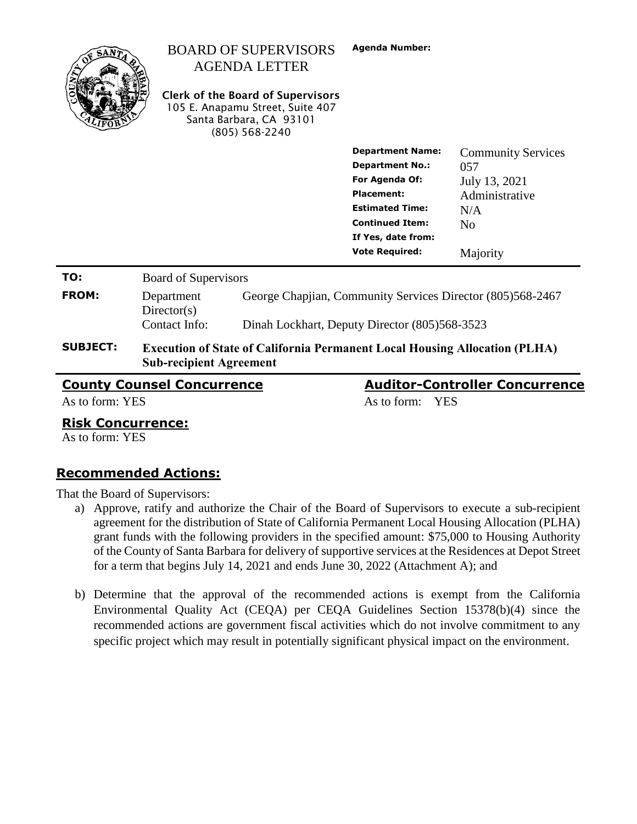|                                                                            |                                                                                                                     | <b>BOARD OF SUPERVISORS</b><br><b>AGENDA LETTER</b><br><b>Clerk of the Board of Supervisors</b><br>105 E. Anapamu Street, Suite 407<br>Santa Barbara, CA 93101<br>$(805)$ 568-2240 | <b>Agenda Number:</b>                                                                                                                                                                       |                                                                                                          |  |  |
|----------------------------------------------------------------------------|---------------------------------------------------------------------------------------------------------------------|------------------------------------------------------------------------------------------------------------------------------------------------------------------------------------|---------------------------------------------------------------------------------------------------------------------------------------------------------------------------------------------|----------------------------------------------------------------------------------------------------------|--|--|
|                                                                            |                                                                                                                     |                                                                                                                                                                                    | <b>Department Name:</b><br><b>Department No.:</b><br>For Agenda Of:<br><b>Placement:</b><br><b>Estimated Time:</b><br><b>Continued Item:</b><br>If Yes, date from:<br><b>Vote Required:</b> | <b>Community Services</b><br>057<br>July 13, 2021<br>Administrative<br>N/A<br>N <sub>o</sub><br>Majority |  |  |
| TO:                                                                        | Board of Supervisors                                                                                                |                                                                                                                                                                                    |                                                                                                                                                                                             |                                                                                                          |  |  |
| <b>FROM:</b>                                                               | Department<br>Directory(s)<br>Contact Info:                                                                         |                                                                                                                                                                                    | George Chapjian, Community Services Director (805)568-2467<br>Dinah Lockhart, Deputy Director (805)568-3523                                                                                 |                                                                                                          |  |  |
| <b>SUBJECT:</b>                                                            | <b>Execution of State of California Permanent Local Housing Allocation (PLHA)</b><br><b>Sub-recipient Agreement</b> |                                                                                                                                                                                    |                                                                                                                                                                                             |                                                                                                          |  |  |
| <b>Auditor-Controller Concurrence</b><br><b>County Counsel Concurrence</b> |                                                                                                                     |                                                                                                                                                                                    |                                                                                                                                                                                             |                                                                                                          |  |  |

As to form: YES As to form: YES

#### **Risk Concurrence:**

As to form: YES

### **Recommended Actions:**

That the Board of Supervisors:

- a) Approve, ratify and authorize the Chair of the Board of Supervisors to execute a sub-recipient agreement for the distribution of State of California Permanent Local Housing Allocation (PLHA) grant funds with the following providers in the specified amount: \$75,000 to Housing Authority of the County of Santa Barbara for delivery of supportive services at the Residences at Depot Street for a term that begins July 14, 2021 and ends June 30, 2022 (Attachment A); and
- b) Determine that the approval of the recommended actions is exempt from the California Environmental Quality Act (CEQA) per CEQA Guidelines Section 15378(b)(4) since the recommended actions are government fiscal activities which do not involve commitment to any specific project which may result in potentially significant physical impact on the environment.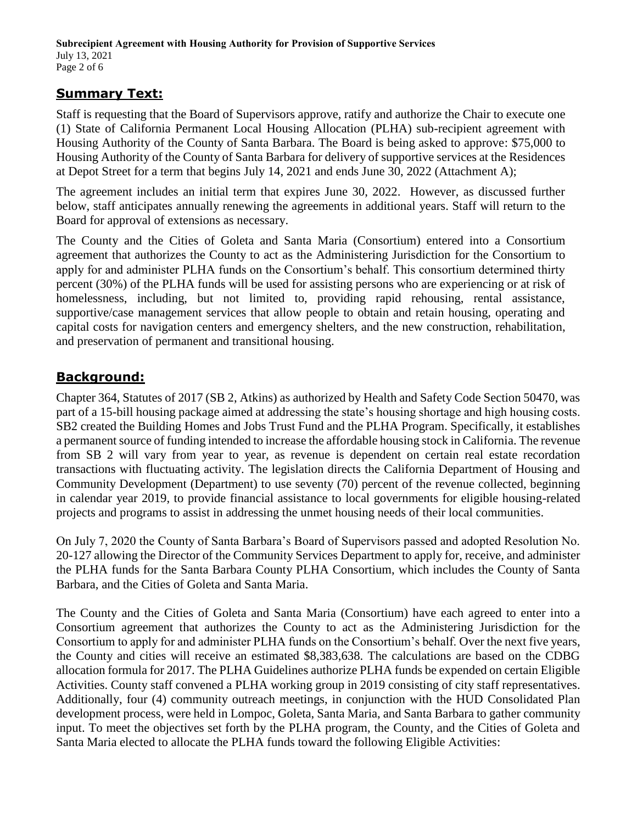## **Summary Text:**

Staff is requesting that the Board of Supervisors approve, ratify and authorize the Chair to execute one (1) State of California Permanent Local Housing Allocation (PLHA) sub-recipient agreement with Housing Authority of the County of Santa Barbara. The Board is being asked to approve: \$75,000 to Housing Authority of the County of Santa Barbara for delivery of supportive services at the Residences at Depot Street for a term that begins July 14, 2021 and ends June 30, 2022 (Attachment A);

The agreement includes an initial term that expires June 30, 2022. However, as discussed further below, staff anticipates annually renewing the agreements in additional years. Staff will return to the Board for approval of extensions as necessary.

The County and the Cities of Goleta and Santa Maria (Consortium) entered into a Consortium agreement that authorizes the County to act as the Administering Jurisdiction for the Consortium to apply for and administer PLHA funds on the Consortium's behalf. This consortium determined thirty percent (30%) of the PLHA funds will be used for assisting persons who are experiencing or at risk of homelessness, including, but not limited to, providing rapid rehousing, rental assistance, supportive/case management services that allow people to obtain and retain housing, operating and capital costs for navigation centers and emergency shelters, and the new construction, rehabilitation, and preservation of permanent and transitional housing.

# **Background:**

Chapter 364, Statutes of 2017 (SB 2, Atkins) as authorized by Health and Safety Code Section 50470, was part of a 15-bill housing package aimed at addressing the state's housing shortage and high housing costs. SB2 created the Building Homes and Jobs Trust Fund and the PLHA Program. Specifically, it establishes a permanent source of funding intended to increase the affordable housing stock in California. The revenue from SB 2 will vary from year to year, as revenue is dependent on certain real estate recordation transactions with fluctuating activity. The legislation directs the California Department of Housing and Community Development (Department) to use seventy (70) percent of the revenue collected, beginning in calendar year 2019, to provide financial assistance to local governments for eligible housing-related projects and programs to assist in addressing the unmet housing needs of their local communities.

On July 7, 2020 the County of Santa Barbara's Board of Supervisors passed and adopted Resolution No. 20-127 allowing the Director of the Community Services Department to apply for, receive, and administer the PLHA funds for the Santa Barbara County PLHA Consortium, which includes the County of Santa Barbara, and the Cities of Goleta and Santa Maria.

The County and the Cities of Goleta and Santa Maria (Consortium) have each agreed to enter into a Consortium agreement that authorizes the County to act as the Administering Jurisdiction for the Consortium to apply for and administer PLHA funds on the Consortium's behalf. Over the next five years, the County and cities will receive an estimated \$8,383,638. The calculations are based on the CDBG allocation formula for 2017. The PLHA Guidelines authorize PLHA funds be expended on certain Eligible Activities. County staff convened a PLHA working group in 2019 consisting of city staff representatives. Additionally, four (4) community outreach meetings, in conjunction with the HUD Consolidated Plan development process, were held in Lompoc, Goleta, Santa Maria, and Santa Barbara to gather community input. To meet the objectives set forth by the PLHA program, the County, and the Cities of Goleta and Santa Maria elected to allocate the PLHA funds toward the following Eligible Activities: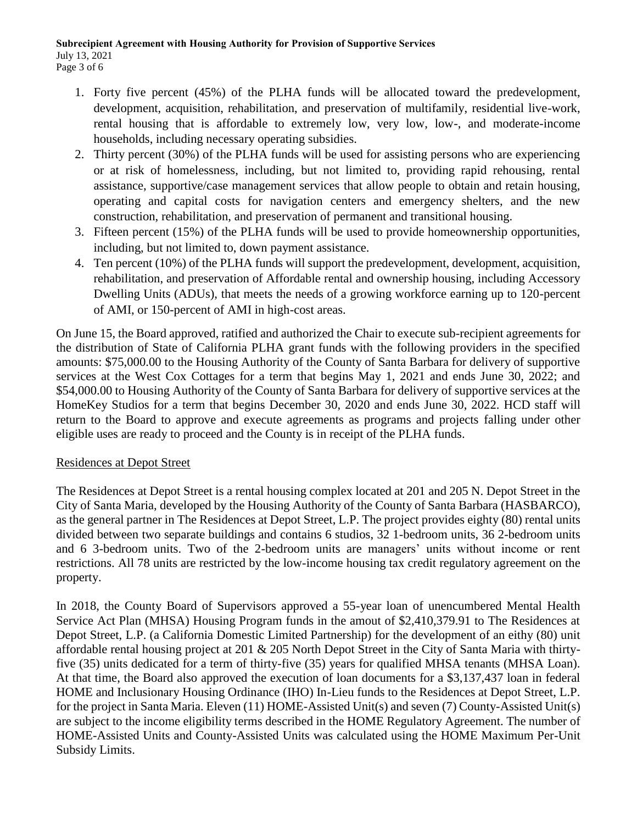- 1. Forty five percent (45%) of the PLHA funds will be allocated toward the predevelopment, development, acquisition, rehabilitation, and preservation of multifamily, residential live-work, rental housing that is affordable to extremely low, very low, low-, and moderate-income households, including necessary operating subsidies.
- 2. Thirty percent (30%) of the PLHA funds will be used for assisting persons who are experiencing or at risk of homelessness, including, but not limited to, providing rapid rehousing, rental assistance, supportive/case management services that allow people to obtain and retain housing, operating and capital costs for navigation centers and emergency shelters, and the new construction, rehabilitation, and preservation of permanent and transitional housing.
- 3. Fifteen percent (15%) of the PLHA funds will be used to provide homeownership opportunities, including, but not limited to, down payment assistance.
- 4. Ten percent (10%) of the PLHA funds will support the predevelopment, development, acquisition, rehabilitation, and preservation of Affordable rental and ownership housing, including Accessory Dwelling Units (ADUs), that meets the needs of a growing workforce earning up to 120-percent of AMI, or 150-percent of AMI in high-cost areas.

On June 15, the Board approved, ratified and authorized the Chair to execute sub-recipient agreements for the distribution of State of California PLHA grant funds with the following providers in the specified amounts: \$75,000.00 to the Housing Authority of the County of Santa Barbara for delivery of supportive services at the West Cox Cottages for a term that begins May 1, 2021 and ends June 30, 2022; and \$54,000.00 to Housing Authority of the County of Santa Barbara for delivery of supportive services at the HomeKey Studios for a term that begins December 30, 2020 and ends June 30, 2022. HCD staff will return to the Board to approve and execute agreements as programs and projects falling under other eligible uses are ready to proceed and the County is in receipt of the PLHA funds.

#### Residences at Depot Street

The Residences at Depot Street is a rental housing complex located at 201 and 205 N. Depot Street in the City of Santa Maria, developed by the Housing Authority of the County of Santa Barbara (HASBARCO), as the general partner in The Residences at Depot Street, L.P. The project provides eighty (80) rental units divided between two separate buildings and contains 6 studios, 32 1-bedroom units, 36 2-bedroom units and 6 3-bedroom units. Two of the 2-bedroom units are managers' units without income or rent restrictions. All 78 units are restricted by the low-income housing tax credit regulatory agreement on the property.

In 2018, the County Board of Supervisors approved a 55-year loan of unencumbered Mental Health Service Act Plan (MHSA) Housing Program funds in the amout of \$2,410,379.91 to The Residences at Depot Street, L.P. (a California Domestic Limited Partnership) for the development of an eithy (80) unit affordable rental housing project at 201 & 205 North Depot Street in the City of Santa Maria with thirtyfive (35) units dedicated for a term of thirty-five (35) years for qualified MHSA tenants (MHSA Loan). At that time, the Board also approved the execution of loan documents for a \$3,137,437 loan in federal HOME and Inclusionary Housing Ordinance (IHO) In-Lieu funds to the Residences at Depot Street, L.P. for the project in Santa Maria. Eleven (11) HOME-Assisted Unit(s) and seven (7) County-Assisted Unit(s) are subject to the income eligibility terms described in the HOME Regulatory Agreement. The number of HOME-Assisted Units and County-Assisted Units was calculated using the HOME Maximum Per-Unit Subsidy Limits.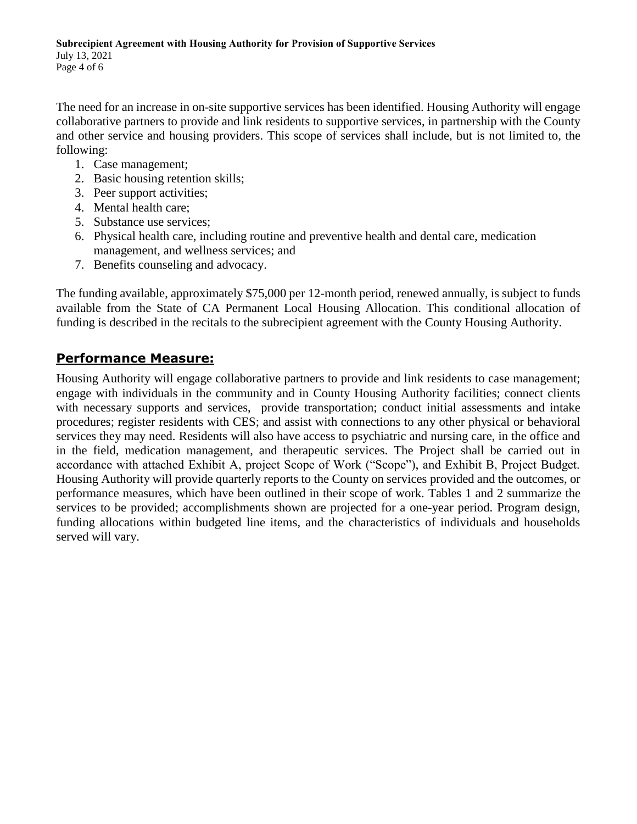The need for an increase in on-site supportive services has been identified. Housing Authority will engage collaborative partners to provide and link residents to supportive services, in partnership with the County and other service and housing providers. This scope of services shall include, but is not limited to, the following:

- 1. Case management;
- 2. Basic housing retention skills;
- 3. Peer support activities;
- 4. Mental health care;
- 5. Substance use services;
- 6. Physical health care, including routine and preventive health and dental care, medication management, and wellness services; and
- 7. Benefits counseling and advocacy.

The funding available, approximately \$75,000 per 12-month period, renewed annually, is subject to funds available from the State of CA Permanent Local Housing Allocation. This conditional allocation of funding is described in the recitals to the subrecipient agreement with the County Housing Authority.

#### **Performance Measure:**

Housing Authority will engage collaborative partners to provide and link residents to case management; engage with individuals in the community and in County Housing Authority facilities; connect clients with necessary supports and services, provide transportation; conduct initial assessments and intake procedures; register residents with CES; and assist with connections to any other physical or behavioral services they may need. Residents will also have access to psychiatric and nursing care, in the office and in the field, medication management, and therapeutic services. The Project shall be carried out in accordance with attached Exhibit A, project Scope of Work ("Scope"), and Exhibit B, Project Budget. Housing Authority will provide quarterly reports to the County on services provided and the outcomes, or performance measures, which have been outlined in their scope of work. Tables 1 and 2 summarize the services to be provided; accomplishments shown are projected for a one-year period. Program design, funding allocations within budgeted line items, and the characteristics of individuals and households served will vary.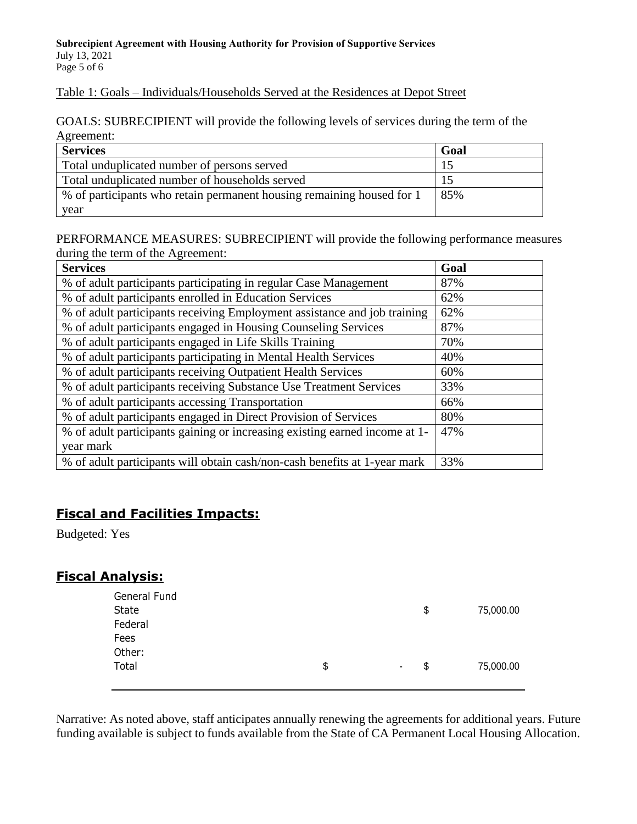#### Table 1: Goals – Individuals/Households Served at the Residences at Depot Street

GOALS: SUBRECIPIENT will provide the following levels of services during the term of the Agreement:

| <b>Services</b>                                                       | Goal |
|-----------------------------------------------------------------------|------|
| Total unduplicated number of persons served                           | 15   |
| Total unduplicated number of households served                        | 15   |
| % of participants who retain permanent housing remaining housed for 1 | 85%  |
| year                                                                  |      |

PERFORMANCE MEASURES: SUBRECIPIENT will provide the following performance measures during the term of the Agreement:

| <b>Services</b>                                                            | Goal |
|----------------------------------------------------------------------------|------|
| % of adult participants participating in regular Case Management           | 87%  |
| % of adult participants enrolled in Education Services                     | 62%  |
| % of adult participants receiving Employment assistance and job training   | 62%  |
| % of adult participants engaged in Housing Counseling Services             | 87%  |
| % of adult participants engaged in Life Skills Training                    | 70%  |
| % of adult participants participating in Mental Health Services            | 40%  |
| % of adult participants receiving Outpatient Health Services               | 60%  |
| % of adult participants receiving Substance Use Treatment Services         | 33%  |
| % of adult participants accessing Transportation                           | 66%  |
| % of adult participants engaged in Direct Provision of Services            | 80%  |
| % of adult participants gaining or increasing existing earned income at 1- | 47%  |
| year mark                                                                  |      |
| % of adult participants will obtain cash/non-cash benefits at 1-year mark  | 33%  |

# **Fiscal and Facilities Impacts:**

Budgeted: Yes

## **Fiscal Analysis:**

| General Fund<br>State<br>Federal |                      | \$<br>75,000.00 |
|----------------------------------|----------------------|-----------------|
| Fees                             |                      |                 |
| Other:                           |                      |                 |
| Total                            | \$<br>$\blacksquare$ | \$<br>75,000.00 |
|                                  |                      |                 |

Narrative: As noted above, staff anticipates annually renewing the agreements for additional years. Future funding available is subject to funds available from the State of CA Permanent Local Housing Allocation.